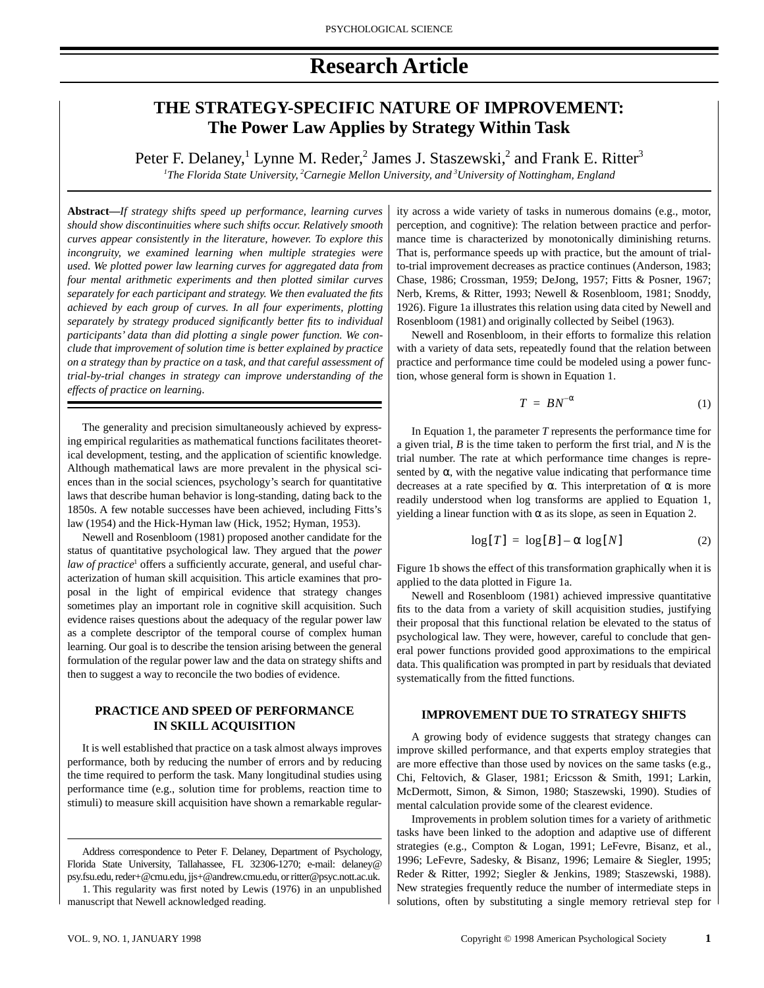# **Research Article**

# **THE STRATEGY-SPECIFIC NATURE OF IMPROVEMENT: The Power Law Applies by Strategy Within Task**

Peter F. Delaney,<sup>1</sup> Lynne M. Reder,<sup>2</sup> James J. Staszewski,<sup>2</sup> and Frank E. Ritter<sup>3</sup> <sup>1</sup>The Florida State University, <sup>2</sup>Carnegie Mellon University, and <sup>3</sup>University of Nottingham, England

**Abstract—***If strategy shifts speed up performance, learning curves should show discontinuities where such shifts occur. Relatively smooth curves appear consistently in the literature, however. To explore this incongruity, we examined learning when multiple strategies were used. We plotted power law learning curves for aggregated data from four mental arithmetic experiments and then plotted similar curves separately for each participant and strategy. We then evaluated the fits achieved by each group of curves. In all four experiments, plotting separately by strategy produced significantly better fits to individual participants' data than did plotting a single power function. We conclude that improvement of solution time is better explained by practice on a strategy than by practice on a task, and that careful assessment of trial-by-trial changes in strategy can improve understanding of the*  $effects of practice on learning.$ 

The generality and precision simultaneously achieved by expressing empirical regularities as mathematical functions facilitates theoretical development, testing, and the application of scientific knowledge. Although mathematical laws are more prevalent in the physical sciences than in the social sciences, psychology's search for quantitative laws that describe human behavior is long-standing, dating back to the 1850s. A few notable successes have been achieved, including Fitts's law (1954) and the Hick-Hyman law (Hick, 1952; Hyman, 1953).

Newell and Rosenbloom (1981) proposed another candidate for the status of quantitative psychological law. They argued that the *power* law of practice<sup>1</sup> offers a sufficiently accurate, general, and useful characterization of human skill acquisition. This article examines that proposal in the light of empirical evidence that strategy changes sometimes play an important role in cognitive skill acquisition. Such evidence raises questions about the adequacy of the regular power law as a complete descriptor of the temporal course of complex human learning. Our goal is to describe the tension arising between the general formulation of the regular power law and the data on strategy shifts and then to suggest a way to reconcile the two bodies of evidence.

# **PRACTICE AND SPEED OF PERFORMANCE IN SKILL ACQUISITION**

It is well established that practice on a task almost always improves performance, both by reducing the number of errors and by reducing the time required to perform the task. Many longitudinal studies using performance time (e.g., solution time for problems, reaction time to stimuli) to measure skill acquisition have shown a remarkable regular-

Address correspondence to Peter F. Delaney, Department of Psychology, Florida State University, Tallahassee, FL 32306-1270; e-mail: delaney@ psy.fsu.edu, reder+@cmu.edu, jjs+@andrew.cmu.edu, or ritter@psyc.nott.ac.uk.

1. This regularity was first noted by Lewis (1976) in an unpublished manuscript that Newell acknowledged reading.

ity across a wide variety of tasks in numerous domains (e.g., motor, perception, and cognitive): The relation between practice and performance time is characterized by monotonically diminishing returns. That is, performance speeds up with practice, but the amount of trialto-trial improvement decreases as practice continues (Anderson, 1983; Chase, 1986; Crossman, 1959; DeJong, 1957; Fitts & Posner, 1967; Nerb, Krems, & Ritter, 1993; Newell & Rosenbloom, 1981; Snoddy, 1926). Figure 1a illustrates this relation using data cited by Newell and Rosenbloom (1981) and originally collected by Seibel (1963).

Newell and Rosenbloom, in their efforts to formalize this relation with a variety of data sets, repeatedly found that the relation between practice and performance time could be modeled using a power function, whose general form is shown in Equation 1.

$$
T = B N^{-\alpha} \tag{1}
$$

In Equation 1, the parameter *T* represents the performance time for a given trial, *B* is the time taken to perform the first trial, and *N* is the trial number. The rate at which performance time changes is represented by  $\alpha$ , with the negative value indicating that performance time decreases at a rate specified by  $\alpha$ . This interpretation of  $\alpha$  is more readily understood when log transforms are applied to Equation 1, yielding a linear function with  $\alpha$  as its slope, as seen in Equation 2.

$$
\log[T] = \log[B] - \alpha \log[N] \tag{2}
$$

Figure 1b shows the effect of this transformation graphically when it is applied to the data plotted in Figure 1a.

Newell and Rosenbloom (1981) achieved impressive quantitative fits to the data from a variety of skill acquisition studies, justifying their proposal that this functional relation be elevated to the status of psychological law. They were, however, careful to conclude that general power functions provided good approximations to the empirical data. This qualification was prompted in part by residuals that deviated systematically from the fitted functions.

#### **IMPROVEMENT DUE TO STRATEGY SHIFTS**

A growing body of evidence suggests that strategy changes can improve skilled performance, and that experts employ strategies that are more effective than those used by novices on the same tasks (e.g., Chi, Feltovich, & Glaser, 1981; Ericsson & Smith, 1991; Larkin, McDermott, Simon, & Simon, 1980; Staszewski, 1990). Studies of mental calculation provide some of the clearest evidence.

Improvements in problem solution times for a variety of arithmetic tasks have been linked to the adoption and adaptive use of different strategies (e.g., Compton & Logan, 1991; LeFevre, Bisanz, et al., 1996; LeFevre, Sadesky, & Bisanz, 1996; Lemaire & Siegler, 1995; Reder & Ritter, 1992; Siegler & Jenkins, 1989; Staszewski, 1988). New strategies frequently reduce the number of intermediate steps in solutions, often by substituting a single memory retrieval step for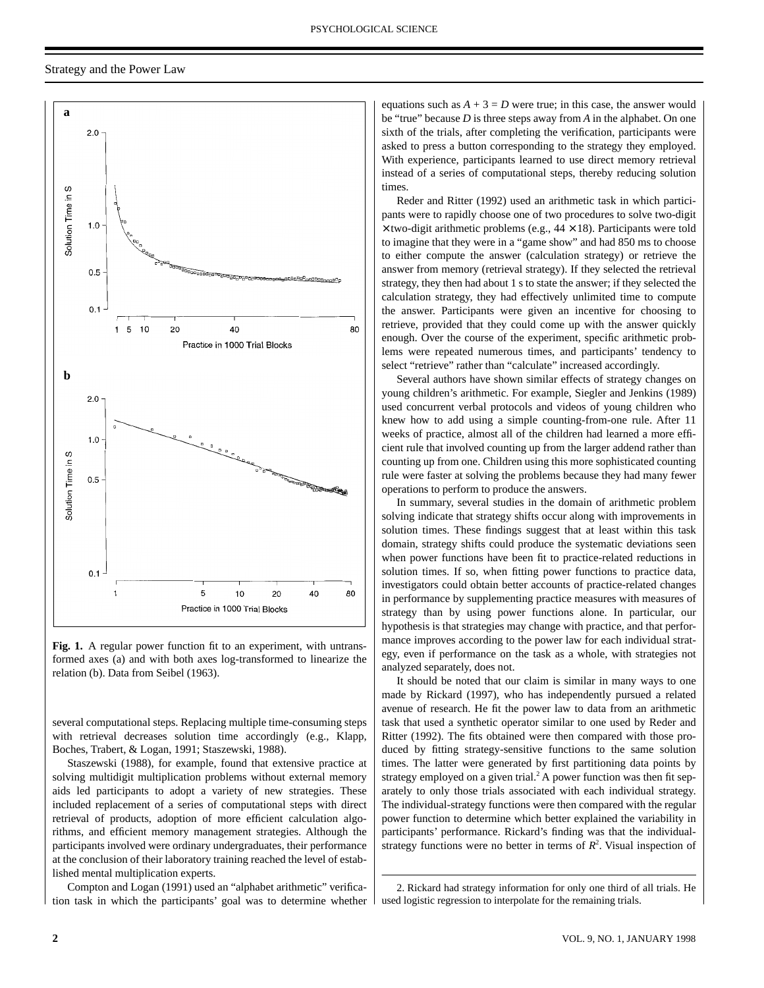#### Strategy and the Power Law



**Fig. 1.** A regular power function fit to an experiment, with untransformed axes (a) and with both axes log-transformed to linearize the relation (b). Data from Seibel (1963).

several computational steps. Replacing multiple time-consuming steps with retrieval decreases solution time accordingly (e.g., Klapp, Boches, Trabert, & Logan, 1991; Staszewski, 1988).

Staszewski (1988), for example, found that extensive practice at solving multidigit multiplication problems without external memory aids led participants to adopt a variety of new strategies. These included replacement of a series of computational steps with direct retrieval of products, adoption of more efficient calculation algorithms, and efficient memory management strategies. Although the participants involved were ordinary undergraduates, their performance at the conclusion of their laboratory training reached the level of established mental multiplication experts.

Compton and Logan (1991) used an "alphabet arithmetic" verification task in which the participants' goal was to determine whether equations such as  $A + 3 = D$  were true; in this case, the answer would be "true" because *D* is three steps away from *A* in the alphabet. On one sixth of the trials, after completing the verification, participants were asked to press a button corresponding to the strategy they employed. With experience, participants learned to use direct memory retrieval instead of a series of computational steps, thereby reducing solution times.

Reder and Ritter (1992) used an arithmetic task in which participants were to rapidly choose one of two procedures to solve two-digit  $\times$  two-digit arithmetic problems (e.g., 44  $\times$  18). Participants were told to imagine that they were in a "game show" and had 850 ms to choose to either compute the answer (calculation strategy) or retrieve the answer from memory (retrieval strategy). If they selected the retrieval strategy, they then had about 1 s to state the answer; if they selected the calculation strategy, they had effectively unlimited time to compute the answer. Participants were given an incentive for choosing to retrieve, provided that they could come up with the answer quickly enough. Over the course of the experiment, specific arithmetic problems were repeated numerous times, and participants' tendency to select "retrieve" rather than "calculate" increased accordingly.

Several authors have shown similar effects of strategy changes on young children's arithmetic. For example, Siegler and Jenkins (1989) used concurrent verbal protocols and videos of young children who knew how to add using a simple counting-from-one rule. After 11 weeks of practice, almost all of the children had learned a more efficient rule that involved counting up from the larger addend rather than counting up from one. Children using this more sophisticated counting rule were faster at solving the problems because they had many fewer operations to perform to produce the answers.

In summary, several studies in the domain of arithmetic problem solving indicate that strategy shifts occur along with improvements in solution times. These findings suggest that at least within this task domain, strategy shifts could produce the systematic deviations seen when power functions have been fit to practice-related reductions in solution times. If so, when fitting power functions to practice data, investigators could obtain better accounts of practice-related changes in performance by supplementing practice measures with measures of strategy than by using power functions alone. In particular, our hypothesis is that strategies may change with practice, and that performance improves according to the power law for each individual strategy, even if performance on the task as a whole, with strategies not analyzed separately, does not.

It should be noted that our claim is similar in many ways to one made by Rickard (1997), who has independently pursued a related avenue of research. He fit the power law to data from an arithmetic task that used a synthetic operator similar to one used by Reder and Ritter (1992). The fits obtained were then compared with those produced by fitting strategy-sensitive functions to the same solution times. The latter were generated by first partitioning data points by strategy employed on a given trial.<sup>2</sup> A power function was then fit separately to only those trials associated with each individual strategy. The individual-strategy functions were then compared with the regular power function to determine which better explained the variability in participants' performance. Rickard's finding was that the individualstrategy functions were no better in terms of  $R<sup>2</sup>$ . Visual inspection of

2. Rickard had strategy information for only one third of all trials. He used logistic regression to interpolate for the remaining trials.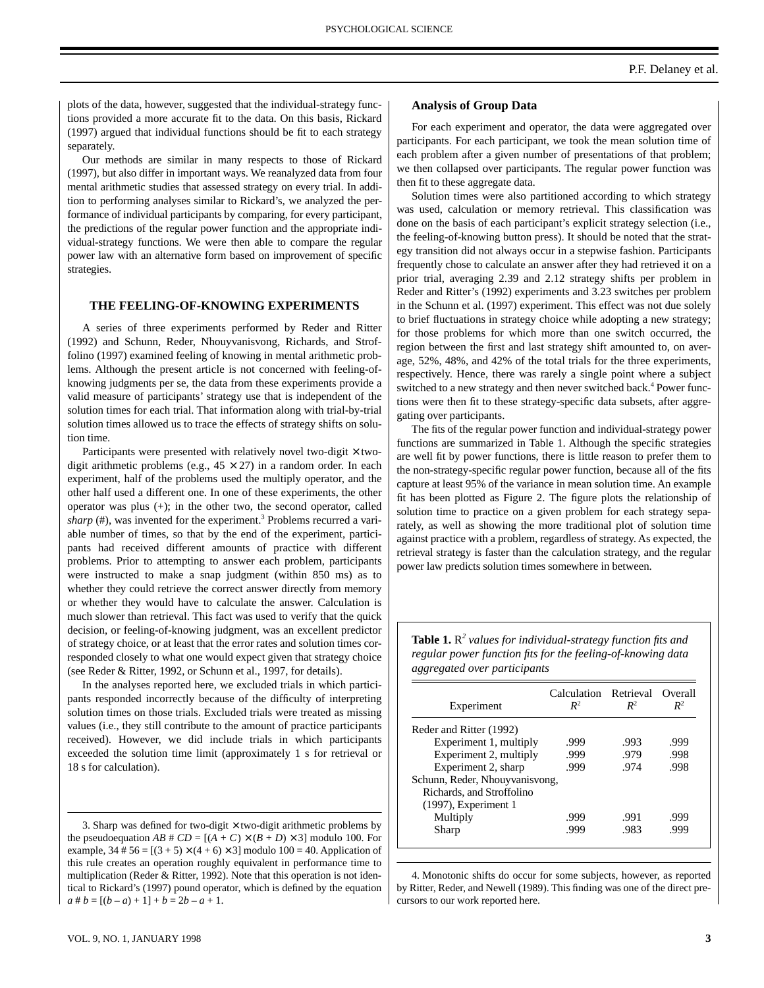plots of the data, however, suggested that the individual-strategy functions provided a more accurate fit to the data. On this basis, Rickard (1997) argued that individual functions should be fit to each strategy separately.

Our methods are similar in many respects to those of Rickard (1997), but also differ in important ways. We reanalyzed data from four mental arithmetic studies that assessed strategy on every trial. In addition to performing analyses similar to Rickard's, we analyzed the performance of individual participants by comparing, for every participant, the predictions of the regular power function and the appropriate individual-strategy functions. We were then able to compare the regular power law with an alternative form based on improvement of specific strategies.

#### **THE FEELING-OF-KNOWING EXPERIMENTS**

A series of three experiments performed by Reder and Ritter (1992) and Schunn, Reder, Nhouyvanisvong, Richards, and Stroffolino (1997) examined feeling of knowing in mental arithmetic problems. Although the present article is not concerned with feeling-ofknowing judgments per se, the data from these experiments provide a valid measure of participants' strategy use that is independent of the solution times for each trial. That information along with trial-by-trial solution times allowed us to trace the effects of strategy shifts on solution time.

Participants were presented with relatively novel two-digit  $\times$  twodigit arithmetic problems (e.g.,  $45 \times 27$ ) in a random order. In each experiment, half of the problems used the multiply operator, and the other half used a different one. In one of these experiments, the other operator was plus (+); in the other two, the second operator, called sharp  $(\#)$ , was invented for the experiment.<sup>3</sup> Problems recurred a variable number of times, so that by the end of the experiment, participants had received different amounts of practice with different problems. Prior to attempting to answer each problem, participants were instructed to make a snap judgment (within 850 ms) as to whether they could retrieve the correct answer directly from memory or whether they would have to calculate the answer. Calculation is much slower than retrieval. This fact was used to verify that the quick decision, or feeling-of-knowing judgment, was an excellent predictor of strategy choice, or at least that the error rates and solution times corresponded closely to what one would expect given that strategy choice (see Reder & Ritter, 1992, or Schunn et al., 1997, for details).

In the analyses reported here, we excluded trials in which participants responded incorrectly because of the difficulty of interpreting solution times on those trials. Excluded trials were treated as missing values (i.e., they still contribute to the amount of practice participants received). However, we did include trials in which participants exceeded the solution time limit (approximately 1 s for retrieval or 18 s for calculation).

3. Sharp was defined for two-digit  $\times$  two-digit arithmetic problems by the pseudoequation  $AB \# CD = [(A + C) \times (B + D) \times 3]$  modulo 100. For example,  $34 \# 56 = [(3 + 5) \times (4 + 6) \times 3]$  modulo  $100 = 40$ . Application of this rule creates an operation roughly equivalent in performance time to multiplication (Reder & Ritter, 1992). Note that this operation is not identical to Rickard's (1997) pound operator, which is defined by the equation  $a \# b = [(b - a) + 1] + b = 2b - a + 1.$ 

#### **Analysis of Group Data**

For each experiment and operator, the data were aggregated over participants. For each participant, we took the mean solution time of each problem after a given number of presentations of that problem; we then collapsed over participants. The regular power function was then fit to these aggregate data.

Solution times were also partitioned according to which strategy was used, calculation or memory retrieval. This classification was done on the basis of each participant's explicit strategy selection (i.e., the feeling-of-knowing button press). It should be noted that the strategy transition did not always occur in a stepwise fashion. Participants frequently chose to calculate an answer after they had retrieved it on a prior trial, averaging 2.39 and 2.12 strategy shifts per problem in Reder and Ritter's (1992) experiments and 3.23 switches per problem in the Schunn et al. (1997) experiment. This effect was not due solely to brief fluctuations in strategy choice while adopting a new strategy; for those problems for which more than one switch occurred, the region between the first and last strategy shift amounted to, on average, 52%, 48%, and 42% of the total trials for the three experiments, respectively. Hence, there was rarely a single point where a subject switched to a new strategy and then never switched back.<sup>4</sup> Power functions were then fit to these strategy-specific data subsets, after aggregating over participants.

The fits of the regular power function and individual-strategy power functions are summarized in Table 1. Although the specific strategies are well fit by power functions, there is little reason to prefer them to the non-strategy-specific regular power function, because all of the fits capture at least 95% of the variance in mean solution time. An example fit has been plotted as Figure 2. The figure plots the relationship of solution time to practice on a given problem for each strategy separately, as well as showing the more traditional plot of solution time against practice with a problem, regardless of strategy. As expected, the retrieval strategy is faster than the calculation strategy, and the regular power law predicts solution times somewhere in between.

**Table 1.** R*<sup>2</sup> values for individual-strategy function fits and regular power function fits for the feeling-of-knowing data aggregated over participants*

| Experiment                     | Calculation Retrieval Overall<br>$R^2$ | $R^2$ | $\mathbb{R}^2$ |
|--------------------------------|----------------------------------------|-------|----------------|
| Reder and Ritter (1992)        |                                        |       |                |
| Experiment 1, multiply         | .999                                   | .993  | .999           |
| Experiment 2, multiply         | .999                                   | .979  | .998           |
| Experiment 2, sharp            | .999                                   | .974  | .998           |
| Schunn, Reder, Nhouyvanisvong, |                                        |       |                |
| Richards, and Stroffolino      |                                        |       |                |
| $(1997)$ , Experiment 1        |                                        |       |                |
| Multiply                       | .999                                   | .991  | .999           |
| Sharp                          | -999                                   | .983  | .999           |

4. Monotonic shifts do occur for some subjects, however, as reported by Ritter, Reder, and Newell (1989). This finding was one of the direct precursors to our work reported here.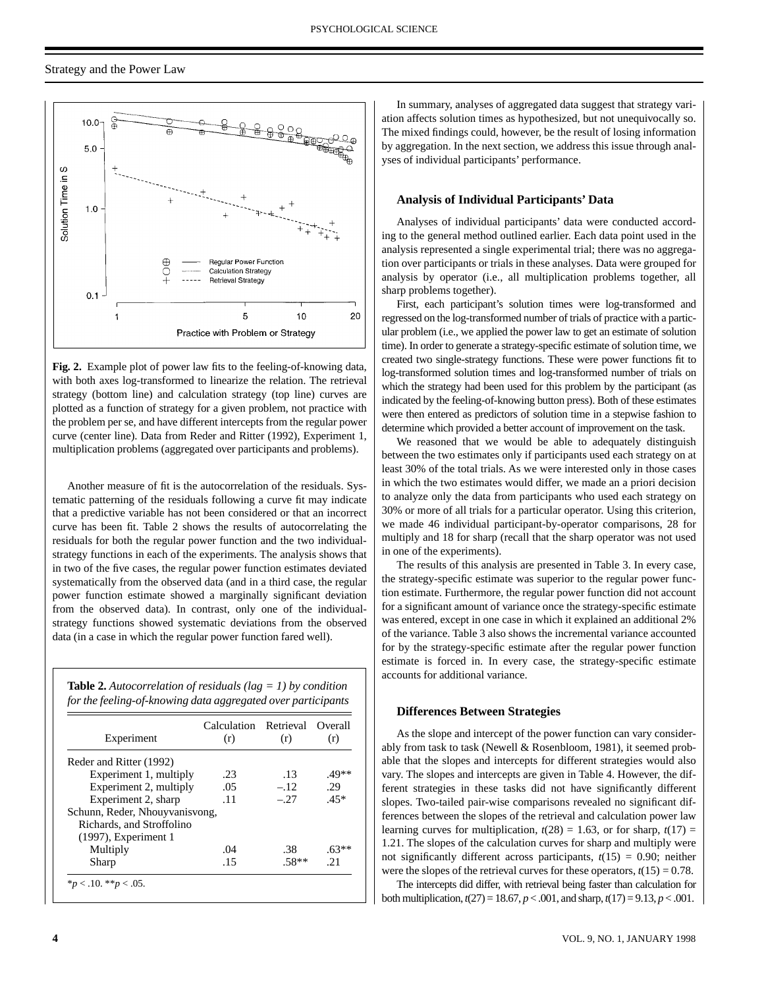

**Fig. 2.** Example plot of power law fits to the feeling-of-knowing data, with both axes log-transformed to linearize the relation. The retrieval strategy (bottom line) and calculation strategy (top line) curves are plotted as a function of strategy for a given problem, not practice with the problem per se, and have different intercepts from the regular power curve (center line). Data from Reder and Ritter (1992), Experiment 1, multiplication problems (aggregated over participants and problems).

Another measure of fit is the autocorrelation of the residuals. Systematic patterning of the residuals following a curve fit may indicate that a predictive variable has not been considered or that an incorrect curve has been fit. Table 2 shows the results of autocorrelating the residuals for both the regular power function and the two individualstrategy functions in each of the experiments. The analysis shows that in two of the five cases, the regular power function estimates deviated systematically from the observed data (and in a third case, the regular power function estimate showed a marginally significant deviation from the observed data). In contrast, only one of the individualstrategy functions showed systematic deviations from the observed data (in a case in which the regular power function fared well).

**Table 2.** *Autocorrelation of residuals (lag = 1) by condition for the feeling-of-knowing data aggregated over participants* 

| Experiment                     | Calculation Retrieval Overall<br>(r) | (r)     | (r)     |
|--------------------------------|--------------------------------------|---------|---------|
| Reder and Ritter (1992)        |                                      |         |         |
| Experiment 1, multiply         | -23                                  | .13     | .49**   |
| Experiment 2, multiply         | .05                                  | $-.12.$ | .29     |
| Experiment 2, sharp            | .11                                  | $-.27$  | $.45*$  |
| Schunn, Reder, Nhouyvanisvong, |                                      |         |         |
| Richards, and Stroffolino      |                                      |         |         |
| $(1997)$ , Experiment 1        |                                      |         |         |
| Multiply                       | .04                                  | .38     | $.63**$ |
| Sharp                          | .15                                  | .58**   | 21      |

In summary, analyses of aggregated data suggest that strategy variation affects solution times as hypothesized, but not unequivocally so. The mixed findings could, however, be the result of losing information by aggregation. In the next section, we address this issue through analyses of individual participants' performance.

#### **Analysis of Individual Participants' Data**

Analyses of individual participants' data were conducted according to the general method outlined earlier. Each data point used in the analysis represented a single experimental trial; there was no aggregation over participants or trials in these analyses. Data were grouped for analysis by operator (i.e., all multiplication problems together, all sharp problems together).

First, each participant's solution times were log-transformed and regressed on the log-transformed number of trials of practice with a particular problem (i.e., we applied the power law to get an estimate of solution time). In order to generate a strategy-specific estimate of solution time, we created two single-strategy functions. These were power functions fit to log-transformed solution times and log-transformed number of trials on which the strategy had been used for this problem by the participant (as indicated by the feeling-of-knowing button press). Both of these estimates were then entered as predictors of solution time in a stepwise fashion to determine which provided a better account of improvement on the task.

We reasoned that we would be able to adequately distinguish between the two estimates only if participants used each strategy on at least 30% of the total trials. As we were interested only in those cases in which the two estimates would differ, we made an a priori decision to analyze only the data from participants who used each strategy on 30% or more of all trials for a particular operator. Using this criterion, we made 46 individual participant-by-operator comparisons, 28 for multiply and 18 for sharp (recall that the sharp operator was not used in one of the experiments).

The results of this analysis are presented in Table 3. In every case, the strategy-specific estimate was superior to the regular power function estimate. Furthermore, the regular power function did not account for a significant amount of variance once the strategy-specific estimate was entered, except in one case in which it explained an additional 2% of the variance. Table 3 also shows the incremental variance accounted for by the strategy-specific estimate after the regular power function estimate is forced in. In every case, the strategy-specific estimate accounts for additional variance.

#### **Differences Between Strategies**

As the slope and intercept of the power function can vary considerably from task to task (Newell & Rosenbloom, 1981), it seemed probable that the slopes and intercepts for different strategies would also vary. The slopes and intercepts are given in Table 4. However, the different strategies in these tasks did not have significantly different slopes. Two-tailed pair-wise comparisons revealed no significant differences between the slopes of the retrieval and calculation power law learning curves for multiplication,  $t(28) = 1.63$ , or for sharp,  $t(17) =$ 1.21. The slopes of the calculation curves for sharp and multiply were not significantly different across participants,  $t(15) = 0.90$ ; neither were the slopes of the retrieval curves for these operators,  $t(15) = 0.78$ .

The intercepts did differ, with retrieval being faster than calculation for both multiplication,  $t(27) = 18.67$ ,  $p < .001$ , and sharp,  $t(17) = 9.13$ ,  $p < .001$ .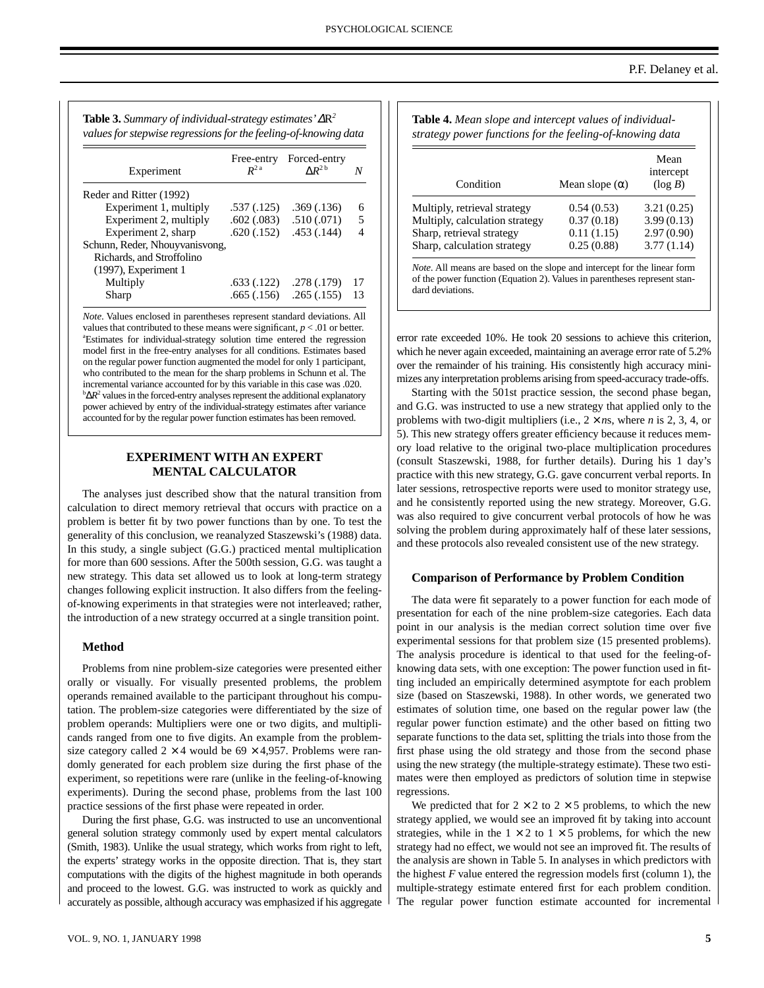| <b>Table 3.</b> Summary of individual-strategy estimates' $\Delta R^2$<br>values for stepwise regressions for the feeling-of-knowing data |                                  |                                       |                          |
|-------------------------------------------------------------------------------------------------------------------------------------------|----------------------------------|---------------------------------------|--------------------------|
| Experiment                                                                                                                                | Free-entry<br>$R^2$ <sup>a</sup> | Forced-entry<br>$\Lambda R^{\rm 2 b}$ | N                        |
| Reder and Ritter (1992)                                                                                                                   |                                  |                                       |                          |
| Experiment 1, multiply                                                                                                                    | .537(.125)                       | .369(.136)                            | 6                        |
| Experiment 2, multiply                                                                                                                    | .602(.083)                       | .510(.071)                            | 5                        |
| Experiment 2, sharp                                                                                                                       | .620(.152)                       | .453(.144)                            | $\overline{\mathcal{A}}$ |
| Schunn, Reder, Nhouyvanisvong,                                                                                                            |                                  |                                       |                          |
| Richards, and Stroffolino                                                                                                                 |                                  |                                       |                          |
| $(1997)$ , Experiment 1                                                                                                                   |                                  |                                       |                          |
| Multiply                                                                                                                                  | .633(.122)                       | .278 (.179)                           | 17                       |
| Sharp                                                                                                                                     | .665(.156)                       | .265(.155)                            | 13                       |

*Note*. Values enclosed in parentheses represent standard deviations. All values that contributed to these means were significant,  $p < .01$  or better. Estimates for individual-strategy solution time entered the regression model first in the free-entry analyses for all conditions. Estimates based on the regular power function augmented the model for only 1 participant, who contributed to the mean for the sharp problems in Schunn et al. The incremental variance accounted for by this variable in this case was .020. <sup>b</sup>∆R<sup>2</sup> values in the forced-entry analyses represent the additional explanatory power achieved by entry of the individual-strategy estimates after variance accounted for by the regular power function estimates has been removed.

## **EXPERIMENT WITH AN EXPERT MENTAL CALCULATOR**

The analyses just described show that the natural transition from calculation to direct memory retrieval that occurs with practice on a problem is better fit by two power functions than by one. To test the generality of this conclusion, we reanalyzed Staszewski's (1988) data. In this study, a single subject (G.G.) practiced mental multiplication for more than 600 sessions. After the 500th session, G.G. was taught a new strategy. This data set allowed us to look at long-term strategy changes following explicit instruction. It also differs from the feelingof-knowing experiments in that strategies were not interleaved; rather, the introduction of a new strategy occurred at a single transition point.

#### **Method**

Problems from nine problem-size categories were presented either orally or visually. For visually presented problems, the problem operands remained available to the participant throughout his computation. The problem-size categories were differentiated by the size of problem operands: Multipliers were one or two digits, and multiplicands ranged from one to five digits. An example from the problemsize category called  $2 \times 4$  would be 69  $\times$  4,957. Problems were randomly generated for each problem size during the first phase of the experiment, so repetitions were rare (unlike in the feeling-of-knowing experiments). During the second phase, problems from the last 100 practice sessions of the first phase were repeated in order.

During the first phase, G.G. was instructed to use an unconventional general solution strategy commonly used by expert mental calculators (Smith, 1983). Unlike the usual strategy, which works from right to left, the experts' strategy works in the opposite direction. That is, they start computations with the digits of the highest magnitude in both operands and proceed to the lowest. G.G. was instructed to work as quickly and accurately as possible, although accuracy was emphasized if his aggregate **Table 4.** *Mean slope and intercept values of individualstrategy power functions for the feeling-of-knowing data* 

| Condition                      | Mean slope $(\alpha)$ | Mean<br>intercept<br>$(\log B)$ |
|--------------------------------|-----------------------|---------------------------------|
| Multiply, retrieval strategy   | 0.54(0.53)            | 3.21(0.25)                      |
| Multiply, calculation strategy | 0.37(0.18)            | 3.99(0.13)                      |
| Sharp, retrieval strategy      | 0.11(1.15)            | 2.97(0.90)                      |
| Sharp, calculation strategy    | 0.25(0.88)            | 3.77(1.14)                      |

*Note*. All means are based on the slope and intercept for the linear form of the power function (Equation 2). Values in parentheses represent standard deviations.

error rate exceeded 10%. He took 20 sessions to achieve this criterion, which he never again exceeded, maintaining an average error rate of 5.2% over the remainder of his training. His consistently high accuracy minimizes any interpretation problems arising from speed-accuracy trade-offs.

Starting with the 501st practice session, the second phase began, and G.G. was instructed to use a new strategy that applied only to the problems with two-digit multipliers (i.e.,  $2 \times n$ s, where *n* is 2, 3, 4, or 5). This new strategy offers greater efficiency because it reduces memory load relative to the original two-place multiplication procedures (consult Staszewski, 1988, for further details). During his 1 day's practice with this new strategy, G.G. gave concurrent verbal reports. In later sessions, retrospective reports were used to monitor strategy use, and he consistently reported using the new strategy. Moreover, G.G. was also required to give concurrent verbal protocols of how he was solving the problem during approximately half of these later sessions, and these protocols also revealed consistent use of the new strategy.

#### **Comparison of Performance by Problem Condition**

The data were fit separately to a power function for each mode of presentation for each of the nine problem-size categories. Each data point in our analysis is the median correct solution time over five experimental sessions for that problem size (15 presented problems). The analysis procedure is identical to that used for the feeling-ofknowing data sets, with one exception: The power function used in fitting included an empirically determined asymptote for each problem size (based on Staszewski, 1988). In other words, we generated two estimates of solution time, one based on the regular power law (the regular power function estimate) and the other based on fitting two separate functions to the data set, splitting the trials into those from the first phase using the old strategy and those from the second phase using the new strategy (the multiple-strategy estimate). These two estimates were then employed as predictors of solution time in stepwise regressions.

We predicted that for  $2 \times 2$  to  $2 \times 5$  problems, to which the new strategy applied, we would see an improved fit by taking into account strategies, while in the  $1 \times 2$  to  $1 \times 5$  problems, for which the new strategy had no effect, we would not see an improved fit. The results of the analysis are shown in Table 5. In analyses in which predictors with the highest *F* value entered the regression models first (column 1), the multiple-strategy estimate entered first for each problem condition. The regular power function estimate accounted for incremental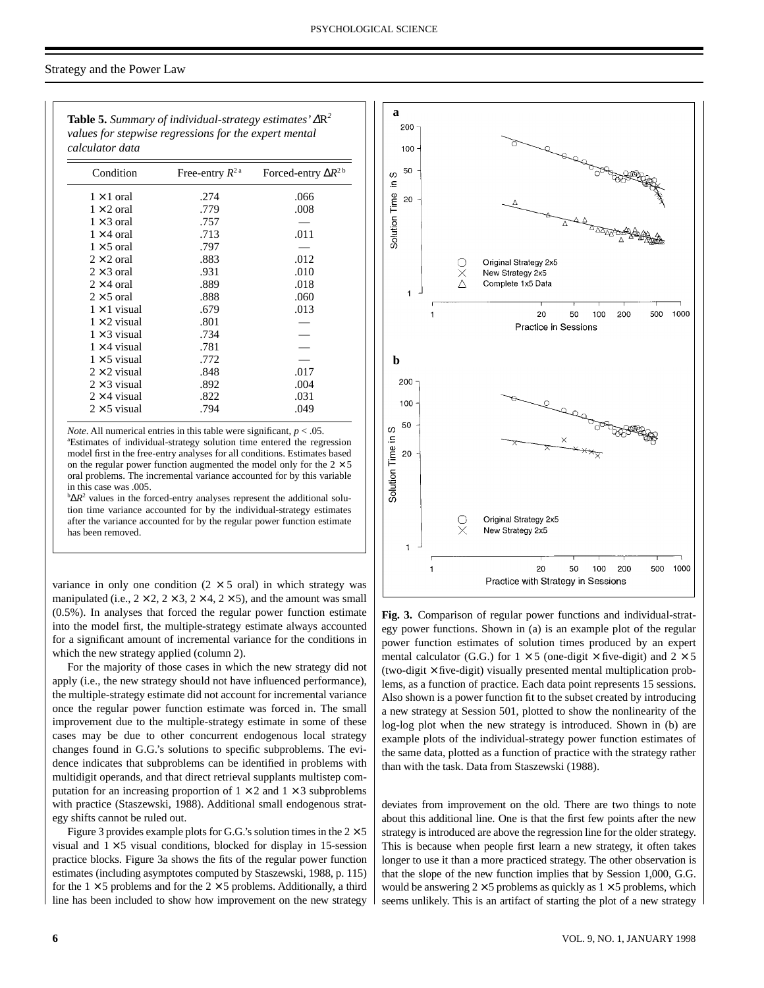## Strategy and the Power Law

**Table 5.** *Summary of individual-strategy estimates'* ∆R*<sup>2</sup> values for stepwise regressions for the expert mental calculator data* 

| Condition           | Free-entry $R^{2a}$ | Forced-entry $\Delta R^2$ <sup>b</sup> |
|---------------------|---------------------|----------------------------------------|
| $1 \times 1$ oral   | .274                | .066                                   |
| $1 \times 2$ oral   | .779                | .008                                   |
| $1 \times 3$ oral   | .757                |                                        |
| $1 \times 4$ oral   | .713                | .011                                   |
| $1 \times 5$ oral   | .797                |                                        |
| $2 \times 2$ oral   | .883                | .012                                   |
| $2 \times 3$ oral   | .931                | .010                                   |
| $2 \times 4$ oral   | .889                | .018                                   |
| $2 \times 5$ oral   | .888                | .060                                   |
| $1 \times 1$ visual | .679                | .013                                   |
| $1 \times 2$ visual | .801                |                                        |
| $1 \times 3$ visual | .734                |                                        |
| $1 \times 4$ visual | .781                |                                        |
| $1 \times 5$ visual | .772                |                                        |
| $2 \times 2$ visual | .848                | .017                                   |
| $2 \times 3$ visual | .892                | .004                                   |
| $2 \times 4$ visual | .822                | .031                                   |
| $2 \times 5$ visual | .794                | .049                                   |

*Note*. All numerical entries in this table were significant,  $p < .05$ . Estimates of individual-strategy solution time entered the regression model first in the free-entry analyses for all conditions. Estimates based on the regular power function augmented the model only for the  $2 \times 5$ oral problems. The incremental variance accounted for by this variable in this case was .005.

<sup>b</sup>∆R<sup>2</sup> values in the forced-entry analyses represent the additional solution time variance accounted for by the individual-strategy estimates after the variance accounted for by the regular power function estimate has been removed.

variance in only one condition  $(2 \times 5$  oral) in which strategy was manipulated (i.e.,  $2 \times 2$ ,  $2 \times 3$ ,  $2 \times 4$ ,  $2 \times 5$ ), and the amount was small (0.5%). In analyses that forced the regular power function estimate into the model first, the multiple-strategy estimate always accounted for a significant amount of incremental variance for the conditions in which the new strategy applied (column 2).

For the majority of those cases in which the new strategy did not apply (i.e., the new strategy should not have influenced performance), the multiple-strategy estimate did not account for incremental variance once the regular power function estimate was forced in. The small improvement due to the multiple-strategy estimate in some of these cases may be due to other concurrent endogenous local strategy changes found in G.G.'s solutions to specific subproblems. The evidence indicates that subproblems can be identified in problems with multidigit operands, and that direct retrieval supplants multistep computation for an increasing proportion of  $1 \times 2$  and  $1 \times 3$  subproblems with practice (Staszewski, 1988). Additional small endogenous strategy shifts cannot be ruled out.

Figure 3 provides example plots for G.G.'s solution times in the  $2 \times 5$ visual and  $1 \times 5$  visual conditions, blocked for display in 15-session practice blocks. Figure 3a shows the fits of the regular power function estimates (including asymptotes computed by Staszewski, 1988, p. 115) for the  $1 \times 5$  problems and for the  $2 \times 5$  problems. Additionally, a third line has been included to show how improvement on the new strategy



**Fig. 3.** Comparison of regular power functions and individual-strategy power functions. Shown in (a) is an example plot of the regular power function estimates of solution times produced by an expert mental calculator (G.G.) for  $1 \times 5$  (one-digit  $\times$  five-digit) and  $2 \times 5$  $(two-digit \times five-digit)$  visually presented mental multiplication problems, as a function of practice. Each data point represents 15 sessions. Also shown is a power function fit to the subset created by introducing a new strategy at Session 501, plotted to show the nonlinearity of the log-log plot when the new strategy is introduced. Shown in (b) are example plots of the individual-strategy power function estimates of the same data, plotted as a function of practice with the strategy rather than with the task. Data from Staszewski (1988).

deviates from improvement on the old. There are two things to note about this additional line. One is that the first few points after the new strategy is introduced are above the regression line for the older strategy. This is because when people first learn a new strategy, it often takes longer to use it than a more practiced strategy. The other observation is that the slope of the new function implies that by Session 1,000, G.G. would be answering  $2 \times 5$  problems as quickly as  $1 \times 5$  problems, which seems unlikely. This is an artifact of starting the plot of a new strategy